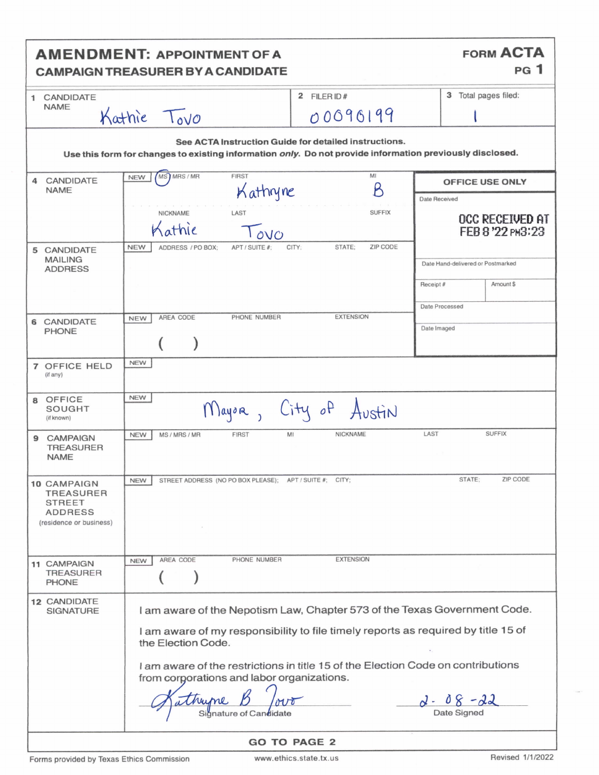| <b>FORM ACTA</b><br><b>AMENDMENT: APPOINTMENT OF A</b><br><b>PG</b> 1<br><b>CAMPAIGN TREASURER BY A CANDIDATE</b>                                                 |                                                                                                                                                                                                                                                                                                                                                           |                                                             |
|-------------------------------------------------------------------------------------------------------------------------------------------------------------------|-----------------------------------------------------------------------------------------------------------------------------------------------------------------------------------------------------------------------------------------------------------------------------------------------------------------------------------------------------------|-------------------------------------------------------------|
| CANDIDATE<br>$\mathbf{1}$                                                                                                                                         | 2 FILER ID#                                                                                                                                                                                                                                                                                                                                               | 3 Total pages filed:                                        |
| <b>NAME</b>                                                                                                                                                       | Kathie Tovo<br>00090199                                                                                                                                                                                                                                                                                                                                   |                                                             |
| See ACTA Instruction Guide for detailed instructions.<br>Use this form for changes to existing information only. Do not provide information previously disclosed. |                                                                                                                                                                                                                                                                                                                                                           |                                                             |
| 4 CANDIDATE<br><b>NAME</b>                                                                                                                                        | MS) MRS / MR<br>MI<br><b>FIRST</b><br><b>NEW</b><br>B<br>Kathyne                                                                                                                                                                                                                                                                                          | <b>OFFICE USE ONLY</b>                                      |
|                                                                                                                                                                   | <b>SUFFIX</b><br>LAST<br>NICKNAME<br>athie<br>O <sub>O</sub><br>ZIP CODE<br>STATE:<br><b>NEW</b><br>CITY:<br>ADDRESS / PO BOX:<br>APT / SUITE #:                                                                                                                                                                                                          | Date Received<br><b>OCC RECEIVED AT</b><br>FEB 8 '22 PM3:23 |
| 5 CANDIDATE<br><b>MAILING</b><br><b>ADDRESS</b>                                                                                                                   |                                                                                                                                                                                                                                                                                                                                                           | Date Hand-delivered or Postmarked                           |
|                                                                                                                                                                   |                                                                                                                                                                                                                                                                                                                                                           | Amount \$<br>Receipt#                                       |
|                                                                                                                                                                   | <b>EXTENSION</b>                                                                                                                                                                                                                                                                                                                                          | Date Processed                                              |
| <b>6 CANDIDATE</b><br><b>PHONE</b>                                                                                                                                | AREA CODE<br>PHONE NUMBER<br><b>NEW</b>                                                                                                                                                                                                                                                                                                                   | Date Imaged                                                 |
| <b>7 OFFICE HELD</b><br>(if any)                                                                                                                                  | <b>NEW</b>                                                                                                                                                                                                                                                                                                                                                |                                                             |
| OFFICE<br>8<br>SOUGHT<br>(if known)                                                                                                                               | <b>NEW</b><br>Mayor, City of Austin                                                                                                                                                                                                                                                                                                                       |                                                             |
| <b>CAMPAIGN</b><br>9<br><b>TREASURER</b><br><b>NAME</b>                                                                                                           | <b>NICKNAME</b><br>MS / MRS / MR<br><b>FIRST</b><br>MI<br><b>NEW</b>                                                                                                                                                                                                                                                                                      | <b>SUFFIX</b><br>LAST                                       |
| 10 CAMPAIGN<br><b>TREASURER</b><br><b>STREET</b><br>ADDRESS<br>(residence or business)                                                                            | STREET ADDRESS (NO PO BOX PLEASE); APT / SUITE #; CITY;<br>NEW                                                                                                                                                                                                                                                                                            | STATE:<br>ZIP CODE                                          |
| 11 CAMPAIGN<br><b>TREASURER</b><br><b>PHONE</b>                                                                                                                   | PHONE NUMBER<br><b>EXTENSION</b><br>AREA CODE<br><b>NEW</b>                                                                                                                                                                                                                                                                                               |                                                             |
| 12 CANDIDATE<br><b>SIGNATURE</b>                                                                                                                                  | I am aware of the Nepotism Law, Chapter 573 of the Texas Government Code.<br>I am aware of my responsibility to file timely reports as required by title 15 of<br>the Election Code.<br>I am aware of the restrictions in title 15 of the Election Code on contributions<br>from corporations and labor organizations.<br>thume<br>Signature of Candidate | $d - 08 - 22$<br>Date Signed                                |
| <b>GO TO PAGE 2</b>                                                                                                                                               |                                                                                                                                                                                                                                                                                                                                                           |                                                             |